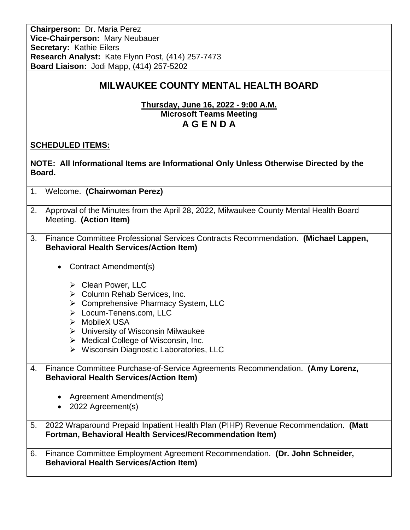**Chairperson:** Dr. Maria Perez **Vice-Chairperson:** Mary Neubauer **Secretary:** Kathie Eilers **Research Analyst:** Kate Flynn Post, (414) 257-7473 **Board Liaison:** Jodi Mapp, (414) 257-5202

## **MILWAUKEE COUNTY MENTAL HEALTH BOARD**

**Thursday, June 16, 2022 - 9:00 A.M. Microsoft Teams Meeting A G E N D A**

## **SCHEDULED ITEMS:**

| NOTE: All Informational Items are Informational Only Unless Otherwise Directed by the<br>Board. |                                                                                                                                                                                                                                                                                                                 |  |
|-------------------------------------------------------------------------------------------------|-----------------------------------------------------------------------------------------------------------------------------------------------------------------------------------------------------------------------------------------------------------------------------------------------------------------|--|
| 1.                                                                                              | Welcome. (Chairwoman Perez)                                                                                                                                                                                                                                                                                     |  |
| 2.                                                                                              | Approval of the Minutes from the April 28, 2022, Milwaukee County Mental Health Board<br>Meeting. (Action Item)                                                                                                                                                                                                 |  |
| 3.                                                                                              | Finance Committee Professional Services Contracts Recommendation. (Michael Lappen,<br><b>Behavioral Health Services/Action Item)</b><br>Contract Amendment(s)<br>$\bullet$                                                                                                                                      |  |
|                                                                                                 | $\triangleright$ Clean Power, LLC<br>> Column Rehab Services, Inc.<br>> Comprehensive Pharmacy System, LLC<br>> Locum-Tenens.com, LLC<br>> MobileX USA<br>$\triangleright$ University of Wisconsin Milwaukee<br>$\triangleright$ Medical College of Wisconsin, Inc.<br>▶ Wisconsin Diagnostic Laboratories, LLC |  |
| 4.                                                                                              | Finance Committee Purchase-of-Service Agreements Recommendation. (Amy Lorenz,<br><b>Behavioral Health Services/Action Item)</b><br>Agreement Amendment(s)<br>$\bullet$<br>2022 Agreement(s)<br>$\bullet$                                                                                                        |  |
| 5.                                                                                              | 2022 Wraparound Prepaid Inpatient Health Plan (PIHP) Revenue Recommendation. (Matt<br>Fortman, Behavioral Health Services/Recommendation Item)                                                                                                                                                                  |  |
| 6.                                                                                              | Finance Committee Employment Agreement Recommendation. (Dr. John Schneider,<br><b>Behavioral Health Services/Action Item)</b>                                                                                                                                                                                   |  |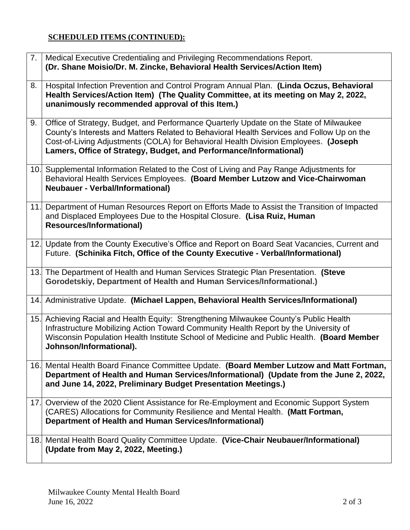## **SCHEDULED ITEMS (CONTINUED):**

| 7.  | Medical Executive Credentialing and Privileging Recommendations Report.<br>(Dr. Shane Moisio/Dr. M. Zincke, Behavioral Health Services/Action Item)                                                                                                                                                                                              |
|-----|--------------------------------------------------------------------------------------------------------------------------------------------------------------------------------------------------------------------------------------------------------------------------------------------------------------------------------------------------|
| 8.  | Hospital Infection Prevention and Control Program Annual Plan. (Linda Oczus, Behavioral<br>Health Services/Action Item) (The Quality Committee, at its meeting on May 2, 2022,<br>unanimously recommended approval of this Item.)                                                                                                                |
| 9.  | Office of Strategy, Budget, and Performance Quarterly Update on the State of Milwaukee<br>County's Interests and Matters Related to Behavioral Health Services and Follow Up on the<br>Cost-of-Living Adjustments (COLA) for Behavioral Health Division Employees. (Joseph<br>Lamers, Office of Strategy, Budget, and Performance/Informational) |
| 10. | Supplemental Information Related to the Cost of Living and Pay Range Adjustments for<br>Behavioral Health Services Employees. (Board Member Lutzow and Vice-Chairwoman<br><b>Neubauer - Verbal/Informational)</b>                                                                                                                                |
| 11. | Department of Human Resources Report on Efforts Made to Assist the Transition of Impacted<br>and Displaced Employees Due to the Hospital Closure. (Lisa Ruiz, Human<br><b>Resources/Informational)</b>                                                                                                                                           |
|     | 12. Update from the County Executive's Office and Report on Board Seat Vacancies, Current and<br>Future. (Schinika Fitch, Office of the County Executive - Verbal/Informational)                                                                                                                                                                 |
| 13. | The Department of Health and Human Services Strategic Plan Presentation. (Steve<br>Gorodetskiy, Department of Health and Human Services/Informational.)                                                                                                                                                                                          |
|     | 14. Administrative Update. (Michael Lappen, Behavioral Health Services/Informational)                                                                                                                                                                                                                                                            |
|     | 15. Achieving Racial and Health Equity: Strengthening Milwaukee County's Public Health<br>Infrastructure Mobilizing Action Toward Community Health Report by the University of<br>Wisconsin Population Health Institute School of Medicine and Public Health. (Board Member<br>Johnson/Informational).                                           |
| 16. | Mental Health Board Finance Committee Update. (Board Member Lutzow and Matt Fortman,<br>Department of Health and Human Services/Informational) (Update from the June 2, 2022,<br>and June 14, 2022, Preliminary Budget Presentation Meetings.)                                                                                                   |
| 17. | Overview of the 2020 Client Assistance for Re-Employment and Economic Support System<br>(CARES) Allocations for Community Resilience and Mental Health. (Matt Fortman,<br>Department of Health and Human Services/Informational)                                                                                                                 |
| 18. | Mental Health Board Quality Committee Update. (Vice-Chair Neubauer/Informational)<br>(Update from May 2, 2022, Meeting.)                                                                                                                                                                                                                         |